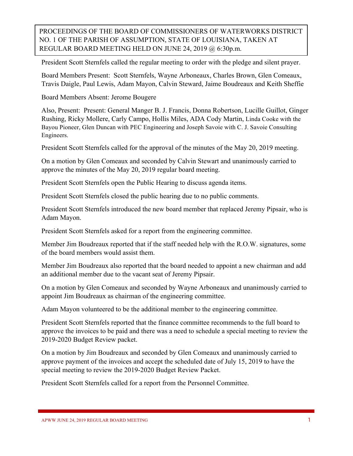PROCEEDINGS OF THE BOARD OF COMMISSIONERS OF WATERWORKS DISTRICT NO. 1 OF THE PARISH OF ASSUMPTION, STATE OF LOUISIANA, TAKEN AT REGULAR BOARD MEETING HELD ON JUNE 24, 2019 @ 6:30p.m.

President Scott Sternfels called the regular meeting to order with the pledge and silent prayer.

Board Members Present: Scott Sternfels, Wayne Arboneaux, Charles Brown, Glen Comeaux, Travis Daigle, Paul Lewis, Adam Mayon, Calvin Steward, Jaime Boudreaux and Keith Sheffie

Board Members Absent: Jerome Bougere

Also, Present: Present: General Manger B. J. Francis, Donna Robertson, Lucille Guillot, Ginger Rushing, Ricky Mollere, Carly Campo, Hollis Miles, ADA Cody Martin, Linda Cooke with the Bayou Pioneer, Glen Duncan with PEC Engineering and Joseph Savoie with C. J. Savoie Consulting Engineers.

President Scott Sternfels called for the approval of the minutes of the May 20, 2019 meeting.

On a motion by Glen Comeaux and seconded by Calvin Stewart and unanimously carried to approve the minutes of the May 20, 2019 regular board meeting.

President Scott Sternfels open the Public Hearing to discuss agenda items.

President Scott Sternfels closed the public hearing due to no public comments.

President Scott Sternfels introduced the new board member that replaced Jeremy Pipsair, who is Adam Mayon.

President Scott Sternfels asked for a report from the engineering committee.

Member Jim Boudreaux reported that if the staff needed help with the R.O.W. signatures, some of the board members would assist them.

Member Jim Boudreaux also reported that the board needed to appoint a new chairman and add an additional member due to the vacant seat of Jeremy Pipsair.

On a motion by Glen Comeaux and seconded by Wayne Arboneaux and unanimously carried to appoint Jim Boudreaux as chairman of the engineering committee.

Adam Mayon volunteered to be the additional member to the engineering committee.

President Scott Sternfels reported that the finance committee recommends to the full board to approve the invoices to be paid and there was a need to schedule a special meeting to review the 2019-2020 Budget Review packet.

On a motion by Jim Boudreaux and seconded by Glen Comeaux and unanimously carried to approve payment of the invoices and accept the scheduled date of July 15, 2019 to have the special meeting to review the 2019-2020 Budget Review Packet.

President Scott Sternfels called for a report from the Personnel Committee.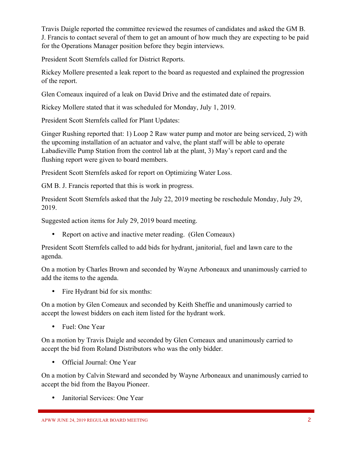Travis Daigle reported the committee reviewed the resumes of candidates and asked the GM B. J. Francis to contact several of them to get an amount of how much they are expecting to be paid for the Operations Manager position before they begin interviews.

President Scott Sternfels called for District Reports.

Rickey Mollere presented a leak report to the board as requested and explained the progression of the report.

Glen Comeaux inquired of a leak on David Drive and the estimated date of repairs.

Rickey Mollere stated that it was scheduled for Monday, July 1, 2019.

President Scott Sternfels called for Plant Updates:

Ginger Rushing reported that: 1) Loop 2 Raw water pump and motor are being serviced, 2) with the upcoming installation of an actuator and valve, the plant staff will be able to operate Labadieville Pump Station from the control lab at the plant, 3) May's report card and the flushing report were given to board members.

President Scott Sternfels asked for report on Optimizing Water Loss.

GM B. J. Francis reported that this is work in progress.

President Scott Sternfels asked that the July 22, 2019 meeting be reschedule Monday, July 29, 2019.

Suggested action items for July 29, 2019 board meeting.

• Report on active and inactive meter reading. (Glen Comeaux)

President Scott Sternfels called to add bids for hydrant, janitorial, fuel and lawn care to the agenda.

On a motion by Charles Brown and seconded by Wayne Arboneaux and unanimously carried to add the items to the agenda.

• Fire Hydrant bid for six months:

On a motion by Glen Comeaux and seconded by Keith Sheffie and unanimously carried to accept the lowest bidders on each item listed for the hydrant work.

• Fuel: One Year

On a motion by Travis Daigle and seconded by Glen Comeaux and unanimously carried to accept the bid from Roland Distributors who was the only bidder.

• Official Journal: One Year

On a motion by Calvin Steward and seconded by Wayne Arboneaux and unanimously carried to accept the bid from the Bayou Pioneer.

• Janitorial Services: One Year